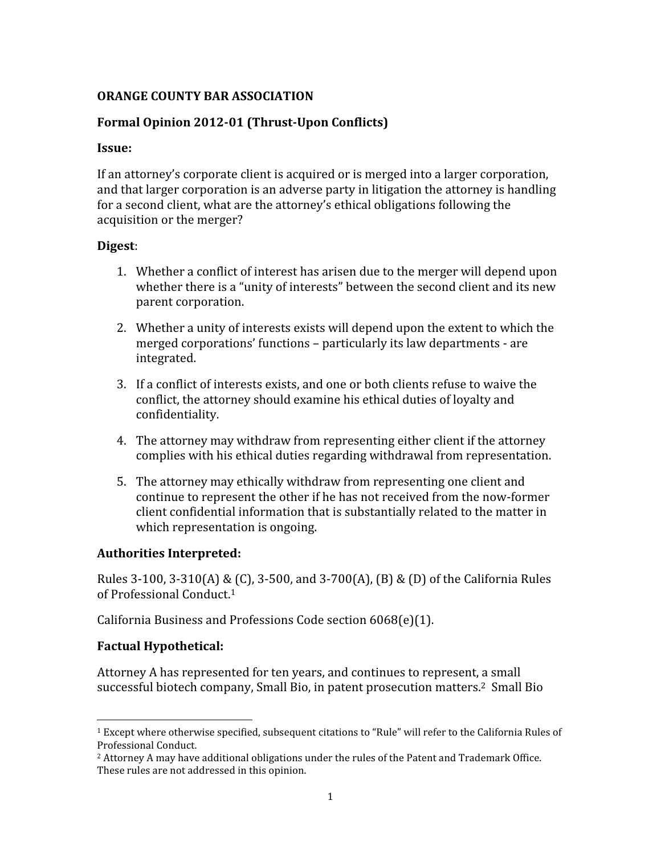#### ORANGE COUNTY BAR ASSOCIATION

### Formal Opinion 2012-01 (Thrust-Upon Conflicts)

#### Issue:

If an attorney's corporate client is acquired or is merged into a larger corporation, and that larger corporation is an adverse party in litigation the attorney is handling for a second client, what are the attorney's ethical obligations following the acquisition or the merger?

#### Digest:

- 1. Whether a conflict of interest has arisen due to the merger will depend upon whether there is a "unity of interests" between the second client and its new parent corporation.
- 2. Whether a unity of interests exists will depend upon the extent to which the merged corporations' functions – particularly its law departments - are integrated.
- 3. If a conflict of interests exists, and one or both clients refuse to waive the conflict, the attorney should examine his ethical duties of loyalty and confidentiality.
- 4. The attorney may withdraw from representing either client if the attorney complies with his ethical duties regarding withdrawal from representation.
- 5. The attorney may ethically withdraw from representing one client and continue to represent the other if he has not received from the now-former client confidential information that is substantially related to the matter in which representation is ongoing.

#### Authorities Interpreted:

Rules 3-100, 3-310(A) & (C), 3-500, and 3-700(A), (B) & (D) of the California Rules of Professional Conduct.<sup>1</sup>

California Business and Professions Code section 6068(e)(1).

#### Factual Hypothetical:

<u>.</u>

Attorney A has represented for ten years, and continues to represent, a small successful biotech company, Small Bio, in patent prosecution matters.<sup>2</sup> Small Bio

<sup>1</sup> Except where otherwise specified, subsequent citations to "Rule" will refer to the California Rules of Professional Conduct.

 $<sup>2</sup>$  Attorney A may have additional obligations under the rules of the Patent and Trademark Office.</sup> These rules are not addressed in this opinion.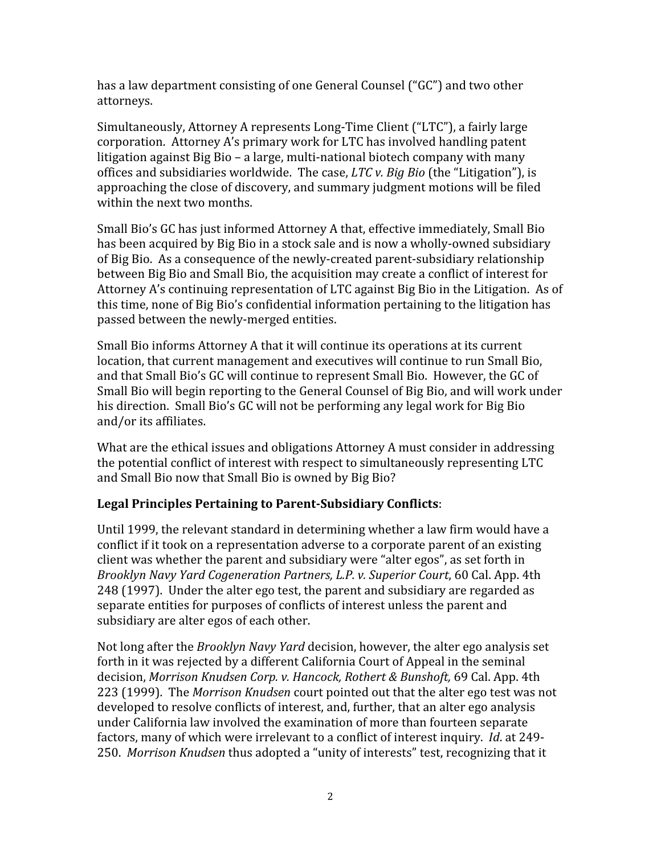has a law department consisting of one General Counsel ("GC") and two other attorneys.

Simultaneously, Attorney A represents Long-Time Client ("LTC"), a fairly large corporation. Attorney A's primary work for LTC has involved handling patent litigation against Big Bio – a large, multi-national biotech company with many offices and subsidiaries worldwide. The case,  $LTC$  v. Big Bio (the "Litigation"), is approaching the close of discovery, and summary judgment motions will be filed within the next two months.

Small Bio's GC has just informed Attorney A that, effective immediately, Small Bio has been acquired by Big Bio in a stock sale and is now a wholly-owned subsidiary of Big Bio. As a consequence of the newly-created parent-subsidiary relationship between Big Bio and Small Bio, the acquisition may create a conflict of interest for Attorney A's continuing representation of LTC against Big Bio in the Litigation. As of this time, none of Big Bio's confidential information pertaining to the litigation has passed between the newly-merged entities.

Small Bio informs Attorney A that it will continue its operations at its current location, that current management and executives will continue to run Small Bio, and that Small Bio's GC will continue to represent Small Bio. However, the GC of Small Bio will begin reporting to the General Counsel of Big Bio, and will work under his direction. Small Bio's GC will not be performing any legal work for Big Bio and/or its affiliates.

What are the ethical issues and obligations Attorney A must consider in addressing the potential conflict of interest with respect to simultaneously representing LTC and Small Bio now that Small Bio is owned by Big Bio?

# Legal Principles Pertaining to Parent-Subsidiary Conflicts:

Until 1999, the relevant standard in determining whether a law firm would have a conflict if it took on a representation adverse to a corporate parent of an existing client was whether the parent and subsidiary were "alter egos", as set forth in Brooklyn Navy Yard Cogeneration Partners, L.P. v. Superior Court, 60 Cal. App. 4th 248 (1997). Under the alter ego test, the parent and subsidiary are regarded as separate entities for purposes of conflicts of interest unless the parent and subsidiary are alter egos of each other.

Not long after the Brooklyn Navy Yard decision, however, the alter ego analysis set forth in it was rejected by a different California Court of Appeal in the seminal decision, Morrison Knudsen Corp. v. Hancock, Rothert & Bunshoft, 69 Cal. App. 4th 223 (1999). The Morrison Knudsen court pointed out that the alter ego test was not developed to resolve conflicts of interest, and, further, that an alter ego analysis under California law involved the examination of more than fourteen separate factors, many of which were irrelevant to a conflict of interest inquiry. Id. at 249- 250. Morrison Knudsen thus adopted a "unity of interests" test, recognizing that it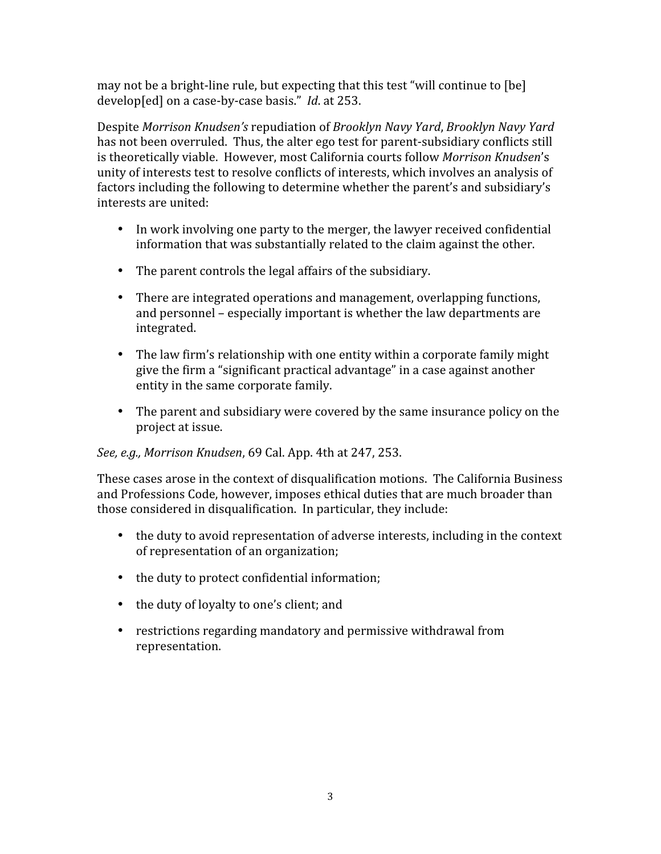may not be a bright-line rule, but expecting that this test "will continue to [be] develop[ed] on a case-by-case basis." Id. at 253.

Despite Morrison Knudsen's repudiation of Brooklyn Navy Yard, Brooklyn Navy Yard has not been overruled. Thus, the alter ego test for parent-subsidiary conflicts still is theoretically viable. However, most California courts follow Morrison Knudsen's unity of interests test to resolve conflicts of interests, which involves an analysis of factors including the following to determine whether the parent's and subsidiary's interests are united:

- In work involving one party to the merger, the lawyer received confidential information that was substantially related to the claim against the other.
- The parent controls the legal affairs of the subsidiary.
- There are integrated operations and management, overlapping functions, and personnel – especially important is whether the law departments are integrated.
- The law firm's relationship with one entity within a corporate family might give the firm a "significant practical advantage" in a case against another entity in the same corporate family.
- The parent and subsidiary were covered by the same insurance policy on the project at issue.

# See, e.g., Morrison Knudsen, 69 Cal. App. 4th at 247, 253.

These cases arose in the context of disqualification motions. The California Business and Professions Code, however, imposes ethical duties that are much broader than those considered in disqualification. In particular, they include:

- the duty to avoid representation of adverse interests, including in the context of representation of an organization;
- the duty to protect confidential information;
- the duty of loyalty to one's client; and
- restrictions regarding mandatory and permissive withdrawal from representation.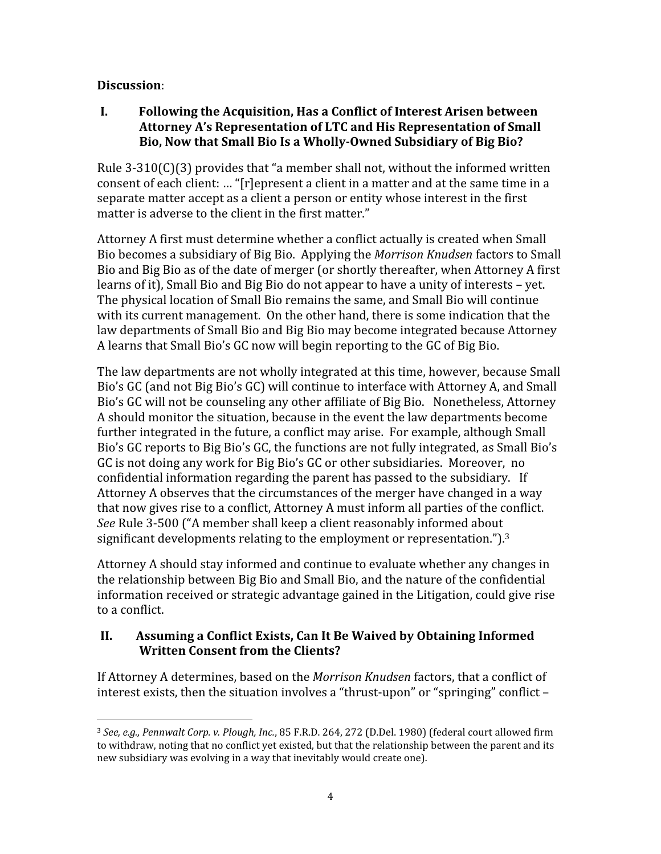## Discussion:

I. Following the Acquisition, Has a Conflict of Interest Arisen between Attorney A's Representation of LTC and His Representation of Small Bio, Now that Small Bio Is a Wholly-Owned Subsidiary of Big Bio?

Rule 3-310(C)(3) provides that "a member shall not, without the informed written consent of each client: … "[r]epresent a client in a matter and at the same time in a separate matter accept as a client a person or entity whose interest in the first matter is adverse to the client in the first matter."

Attorney A first must determine whether a conflict actually is created when Small Bio becomes a subsidiary of Big Bio. Applying the Morrison Knudsen factors to Small Bio and Big Bio as of the date of merger (or shortly thereafter, when Attorney A first learns of it), Small Bio and Big Bio do not appear to have a unity of interests – yet. The physical location of Small Bio remains the same, and Small Bio will continue with its current management. On the other hand, there is some indication that the law departments of Small Bio and Big Bio may become integrated because Attorney A learns that Small Bio's GC now will begin reporting to the GC of Big Bio.

The law departments are not wholly integrated at this time, however, because Small Bio's GC (and not Big Bio's GC) will continue to interface with Attorney A, and Small Bio's GC will not be counseling any other affiliate of Big Bio. Nonetheless, Attorney A should monitor the situation, because in the event the law departments become further integrated in the future, a conflict may arise. For example, although Small Bio's GC reports to Big Bio's GC, the functions are not fully integrated, as Small Bio's GC is not doing any work for Big Bio's GC or other subsidiaries. Moreover, no confidential information regarding the parent has passed to the subsidiary. If Attorney A observes that the circumstances of the merger have changed in a way that now gives rise to a conflict, Attorney A must inform all parties of the conflict. See Rule 3-500 ("A member shall keep a client reasonably informed about significant developments relating to the employment or representation.").<sup>3</sup>

Attorney A should stay informed and continue to evaluate whether any changes in the relationship between Big Bio and Small Bio, and the nature of the confidential information received or strategic advantage gained in the Litigation, could give rise to a conflict.

## II. Assuming a Conflict Exists, Can It Be Waived by Obtaining Informed Written Consent from the Clients?

If Attorney A determines, based on the Morrison Knudsen factors, that a conflict of interest exists, then the situation involves a "thrust-upon" or "springing" conflict –

<sup>&</sup>lt;u>.</u>  $3$  See, e.g., Pennwalt Corp. v. Plough, Inc., 85 F.R.D. 264, 272 (D.Del. 1980) (federal court allowed firm to withdraw, noting that no conflict yet existed, but that the relationship between the parent and its new subsidiary was evolving in a way that inevitably would create one).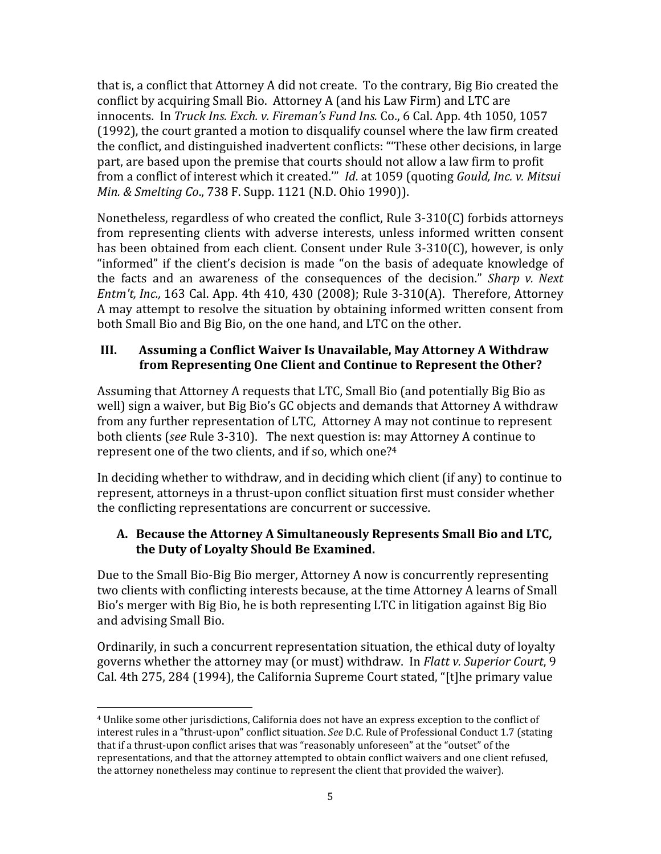that is, a conflict that Attorney A did not create. To the contrary, Big Bio created the conflict by acquiring Small Bio. Attorney A (and his Law Firm) and LTC are innocents. In Truck Ins. Exch. v. Fireman's Fund Ins. Co., 6 Cal. App. 4th 1050, 1057 (1992), the court granted a motion to disqualify counsel where the law firm created the conflict, and distinguished inadvertent conflicts: "'These other decisions, in large part, are based upon the premise that courts should not allow a law firm to profit from a conflict of interest which it created."" Id. at 1059 (quoting Gould, Inc. v. Mitsui Min. & Smelting Co., 738 F. Supp. 1121 (N.D. Ohio 1990)).

Nonetheless, regardless of who created the conflict, Rule 3-310(C) forbids attorneys from representing clients with adverse interests, unless informed written consent has been obtained from each client. Consent under Rule 3-310(C), however, is only "informed" if the client's decision is made "on the basis of adequate knowledge of the facts and an awareness of the consequences of the decision." Sharp v. Next Entm't, Inc., 163 Cal. App. 4th 410, 430 (2008); Rule 3-310(A). Therefore, Attorney A may attempt to resolve the situation by obtaining informed written consent from both Small Bio and Big Bio, on the one hand, and LTC on the other.

## III. Assuming a Conflict Waiver Is Unavailable, May Attorney A Withdraw from Representing One Client and Continue to Represent the Other?

Assuming that Attorney A requests that LTC, Small Bio (and potentially Big Bio as well) sign a waiver, but Big Bio's GC objects and demands that Attorney A withdraw from any further representation of LTC, Attorney A may not continue to represent both clients (see Rule 3-310). The next question is: may Attorney A continue to represent one of the two clients, and if so, which one?<sup>4</sup>

In deciding whether to withdraw, and in deciding which client (if any) to continue to represent, attorneys in a thrust-upon conflict situation first must consider whether the conflicting representations are concurrent or successive.

## A. Because the Attorney A Simultaneously Represents Small Bio and LTC, the Duty of Loyalty Should Be Examined.

Due to the Small Bio-Big Bio merger, Attorney A now is concurrently representing two clients with conflicting interests because, at the time Attorney A learns of Small Bio's merger with Big Bio, he is both representing LTC in litigation against Big Bio and advising Small Bio.

Ordinarily, in such a concurrent representation situation, the ethical duty of loyalty governs whether the attorney may (or must) withdraw. In Flatt v. Superior Court, 9 Cal. 4th 275, 284 (1994), the California Supreme Court stated, "[t]he primary value

<sup>-</sup><sup>4</sup> Unlike some other jurisdictions, California does not have an express exception to the conflict of interest rules in a "thrust-upon" conflict situation. See D.C. Rule of Professional Conduct 1.7 (stating that if a thrust-upon conflict arises that was "reasonably unforeseen" at the "outset" of the representations, and that the attorney attempted to obtain conflict waivers and one client refused, the attorney nonetheless may continue to represent the client that provided the waiver).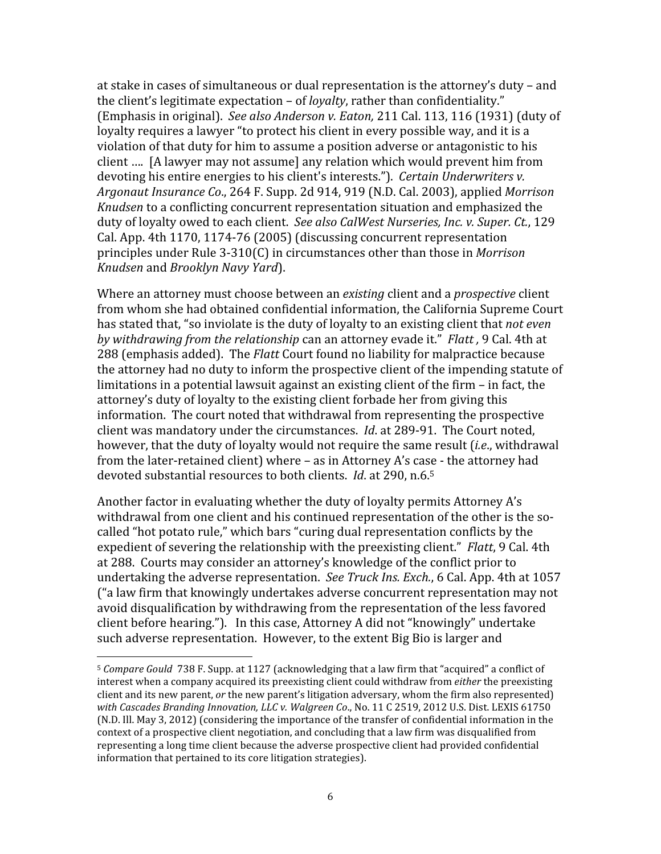at stake in cases of simultaneous or dual representation is the attorney's duty – and the client's legitimate expectation - of *loyalty*, rather than confidentiality." (Emphasis in original). See also Anderson v. Eaton, 211 Cal. 113, 116 (1931) (duty of loyalty requires a lawyer "to protect his client in every possible way, and it is a violation of that duty for him to assume a position adverse or antagonistic to his client …. [A lawyer may not assume] any relation which would prevent him from devoting his entire energies to his client's interests."). Certain Underwriters v. Argonaut Insurance Co., 264 F. Supp. 2d 914, 919 (N.D. Cal. 2003), applied Morrison Knudsen to a conflicting concurrent representation situation and emphasized the duty of loyalty owed to each client. See also CalWest Nurseries, Inc. v. Super. Ct., 129 Cal. App. 4th 1170, 1174-76 (2005) (discussing concurrent representation principles under Rule 3-310(C) in circumstances other than those in Morrison Knudsen and Brooklyn Navy Yard).

Where an attorney must choose between an *existing* client and a *prospective* client from whom she had obtained confidential information, the California Supreme Court has stated that, "so inviolate is the duty of loyalty to an existing client that not even by withdrawing from the relationship can an attorney evade it." Flatt , 9 Cal. 4th at 288 (emphasis added). The Flatt Court found no liability for malpractice because the attorney had no duty to inform the prospective client of the impending statute of limitations in a potential lawsuit against an existing client of the firm – in fact, the attorney's duty of loyalty to the existing client forbade her from giving this information. The court noted that withdrawal from representing the prospective client was mandatory under the circumstances. Id. at 289-91. The Court noted, however, that the duty of loyalty would not require the same result (*i.e.*, withdrawal from the later-retained client) where – as in Attorney A's case - the attorney had devoted substantial resources to both clients. *Id.* at 290, n.6.<sup>5</sup>

Another factor in evaluating whether the duty of loyalty permits Attorney A's withdrawal from one client and his continued representation of the other is the socalled "hot potato rule," which bars "curing dual representation conflicts by the expedient of severing the relationship with the preexisting client." Flatt, 9 Cal. 4th at 288. Courts may consider an attorney's knowledge of the conflict prior to undertaking the adverse representation. See Truck Ins. Exch., 6 Cal. App. 4th at 1057 ("a law firm that knowingly undertakes adverse concurrent representation may not avoid disqualification by withdrawing from the representation of the less favored client before hearing."). In this case, Attorney A did not "knowingly" undertake such adverse representation. However, to the extent Big Bio is larger and

 $\overline{a}$ 

 $5$  Compare Gould 738 F. Supp. at 1127 (acknowledging that a law firm that "acquired" a conflict of interest when a company acquired its preexisting client could withdraw from *either* the preexisting client and its new parent, or the new parent's litigation adversary, whom the firm also represented) with Cascades Branding Innovation, LLC v. Walgreen Co., No. 11 C 2519, 2012 U.S. Dist. LEXIS 61750 (N.D. Ill. May 3, 2012) (considering the importance of the transfer of confidential information in the context of a prospective client negotiation, and concluding that a law firm was disqualified from representing a long time client because the adverse prospective client had provided confidential information that pertained to its core litigation strategies).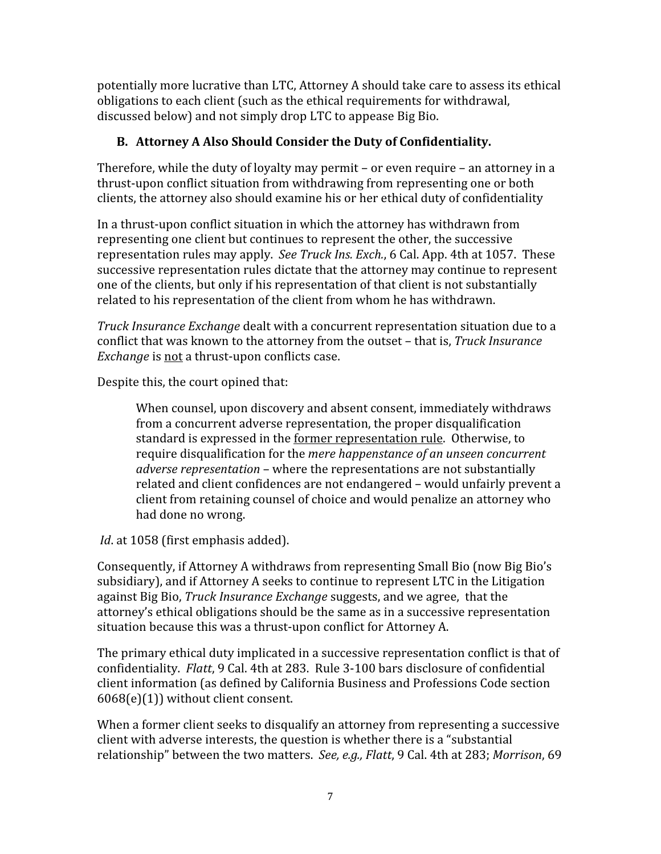potentially more lucrative than LTC, Attorney A should take care to assess its ethical obligations to each client (such as the ethical requirements for withdrawal, discussed below) and not simply drop LTC to appease Big Bio.

# B. Attorney A Also Should Consider the Duty of Confidentiality.

Therefore, while the duty of loyalty may permit – or even require – an attorney in a thrust-upon conflict situation from withdrawing from representing one or both clients, the attorney also should examine his or her ethical duty of confidentiality

In a thrust-upon conflict situation in which the attorney has withdrawn from representing one client but continues to represent the other, the successive representation rules may apply. See Truck Ins. Exch., 6 Cal. App. 4th at 1057. These successive representation rules dictate that the attorney may continue to represent one of the clients, but only if his representation of that client is not substantially related to his representation of the client from whom he has withdrawn.

Truck Insurance Exchange dealt with a concurrent representation situation due to a conflict that was known to the attorney from the outset – that is, Truck Insurance Exchange is not a thrust-upon conflicts case.

Despite this, the court opined that:

When counsel, upon discovery and absent consent, immediately withdraws from a concurrent adverse representation, the proper disqualification standard is expressed in the former representation rule. Otherwise, to require disqualification for the mere happenstance of an unseen concurrent adverse representation – where the representations are not substantially related and client confidences are not endangered – would unfairly prevent a client from retaining counsel of choice and would penalize an attorney who had done no wrong.

Id. at 1058 (first emphasis added).

Consequently, if Attorney A withdraws from representing Small Bio (now Big Bio's subsidiary), and if Attorney A seeks to continue to represent LTC in the Litigation against Big Bio, Truck Insurance Exchange suggests, and we agree, that the attorney's ethical obligations should be the same as in a successive representation situation because this was a thrust-upon conflict for Attorney A.

The primary ethical duty implicated in a successive representation conflict is that of confidentiality. Flatt, 9 Cal. 4th at 283. Rule 3-100 bars disclosure of confidential client information (as defined by California Business and Professions Code section 6068(e)(1)) without client consent.

When a former client seeks to disqualify an attorney from representing a successive client with adverse interests, the question is whether there is a "substantial relationship" between the two matters. See, e.g., Flatt, 9 Cal. 4th at 283; Morrison, 69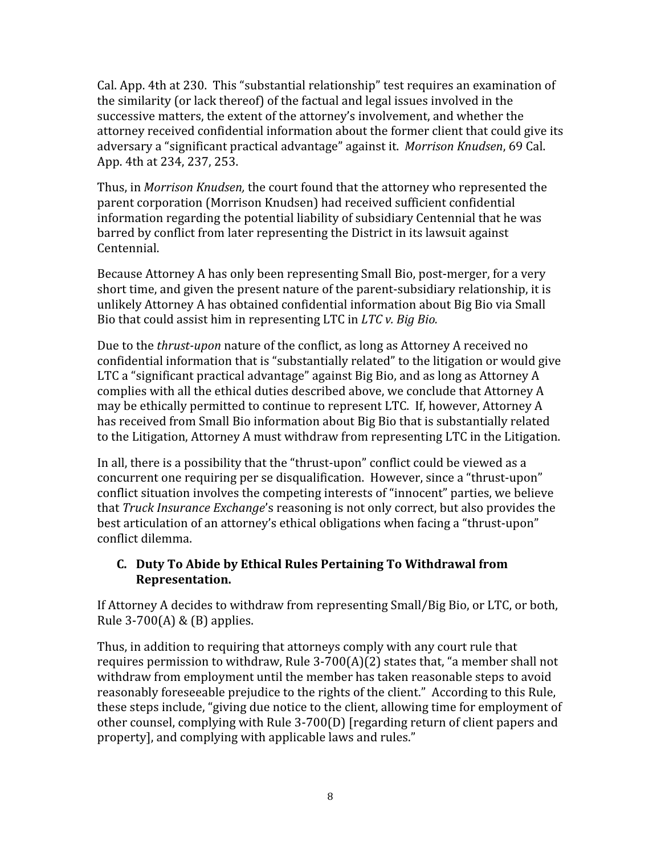Cal. App. 4th at 230. This "substantial relationship" test requires an examination of the similarity (or lack thereof) of the factual and legal issues involved in the successive matters, the extent of the attorney's involvement, and whether the attorney received confidential information about the former client that could give its adversary a "significant practical advantage" against it. Morrison Knudsen, 69 Cal. App. 4th at 234, 237, 253.

Thus, in Morrison Knudsen, the court found that the attorney who represented the parent corporation (Morrison Knudsen) had received sufficient confidential information regarding the potential liability of subsidiary Centennial that he was barred by conflict from later representing the District in its lawsuit against Centennial.

Because Attorney A has only been representing Small Bio, post-merger, for a very short time, and given the present nature of the parent-subsidiary relationship, it is unlikely Attorney A has obtained confidential information about Big Bio via Small Bio that could assist him in representing LTC in LTC v. Big Bio.

Due to the thrust-upon nature of the conflict, as long as Attorney A received no confidential information that is "substantially related" to the litigation or would give LTC a "significant practical advantage" against Big Bio, and as long as Attorney A complies with all the ethical duties described above, we conclude that Attorney A may be ethically permitted to continue to represent LTC. If, however, Attorney A has received from Small Bio information about Big Bio that is substantially related to the Litigation, Attorney A must withdraw from representing LTC in the Litigation.

In all, there is a possibility that the "thrust-upon" conflict could be viewed as a concurrent one requiring per se disqualification. However, since a "thrust-upon" conflict situation involves the competing interests of "innocent" parties, we believe that Truck Insurance Exchange's reasoning is not only correct, but also provides the best articulation of an attorney's ethical obligations when facing a "thrust-upon" conflict dilemma.

# C. Duty To Abide by Ethical Rules Pertaining To Withdrawal from Representation.

If Attorney A decides to withdraw from representing Small/Big Bio, or LTC, or both, Rule 3-700(A) & (B) applies.

Thus, in addition to requiring that attorneys comply with any court rule that requires permission to withdraw, Rule 3-700(A)(2) states that, "a member shall not withdraw from employment until the member has taken reasonable steps to avoid reasonably foreseeable prejudice to the rights of the client." According to this Rule, these steps include, "giving due notice to the client, allowing time for employment of other counsel, complying with Rule 3-700(D) [regarding return of client papers and property], and complying with applicable laws and rules."